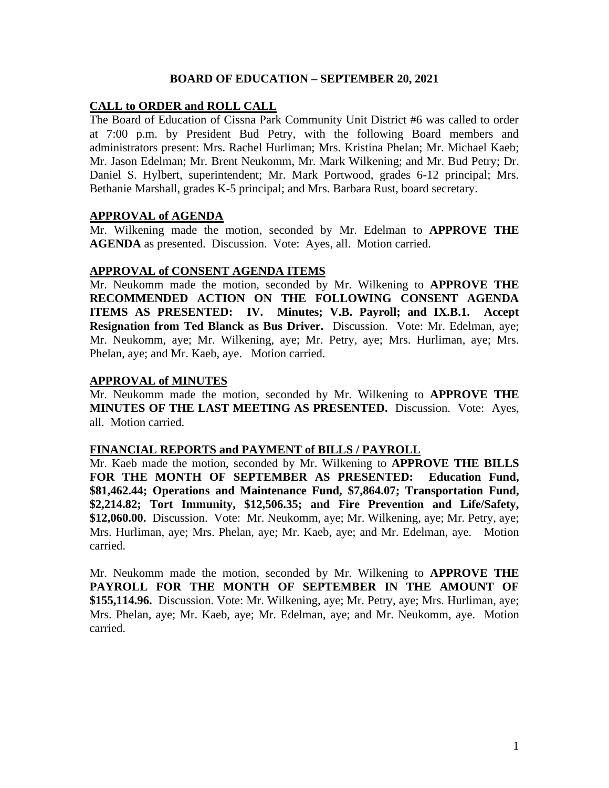## **BOARD OF EDUCATION – SEPTEMBER 20, 2021**

## **CALL to ORDER and ROLL CALL**

The Board of Education of Cissna Park Community Unit District #6 was called to order at 7:00 p.m. by President Bud Petry, with the following Board members and administrators present: Mrs. Rachel Hurliman; Mrs. Kristina Phelan; Mr. Michael Kaeb; Mr. Jason Edelman; Mr. Brent Neukomm, Mr. Mark Wilkening; and Mr. Bud Petry; Dr. Daniel S. Hylbert, superintendent; Mr. Mark Portwood, grades 6-12 principal; Mrs. Bethanie Marshall, grades K-5 principal; and Mrs. Barbara Rust, board secretary.

#### **APPROVAL of AGENDA**

Mr. Wilkening made the motion, seconded by Mr. Edelman to **APPROVE THE AGENDA** as presented. Discussion. Vote: Ayes, all. Motion carried.

#### **APPROVAL of CONSENT AGENDA ITEMS**

Mr. Neukomm made the motion, seconded by Mr. Wilkening to **APPROVE THE RECOMMENDED ACTION ON THE FOLLOWING CONSENT AGENDA ITEMS AS PRESENTED: IV. Minutes; V.B. Payroll; and IX.B.1. Accept Resignation from Ted Blanck as Bus Driver.** Discussion. Vote: Mr. Edelman, aye; Mr. Neukomm, aye; Mr. Wilkening, aye; Mr. Petry, aye; Mrs. Hurliman, aye; Mrs. Phelan, aye; and Mr. Kaeb, aye. Motion carried.

#### **APPROVAL of MINUTES**

Mr. Neukomm made the motion, seconded by Mr. Wilkening to **APPROVE THE MINUTES OF THE LAST MEETING AS PRESENTED.** Discussion. Vote: Ayes, all. Motion carried.

#### **FINANCIAL REPORTS and PAYMENT of BILLS / PAYROLL**

Mr. Kaeb made the motion, seconded by Mr. Wilkening to **APPROVE THE BILLS FOR THE MONTH OF SEPTEMBER AS PRESENTED: Education Fund, \$81,462.44; Operations and Maintenance Fund, \$7,864.07; Transportation Fund, \$2,214.82; Tort Immunity, \$12,506.35; and Fire Prevention and Life/Safety, \$12,060.00.** Discussion. Vote: Mr. Neukomm, aye; Mr. Wilkening, aye; Mr. Petry, aye; Mrs. Hurliman, aye; Mrs. Phelan, aye; Mr. Kaeb, aye; and Mr. Edelman, aye. Motion carried.

Mr. Neukomm made the motion, seconded by Mr. Wilkening to **APPROVE THE PAYROLL FOR THE MONTH OF SEPTEMBER IN THE AMOUNT OF \$155,114.96.** Discussion. Vote: Mr. Wilkening, aye; Mr. Petry, aye; Mrs. Hurliman, aye; Mrs. Phelan, aye; Mr. Kaeb, aye; Mr. Edelman, aye; and Mr. Neukomm, aye. Motion carried.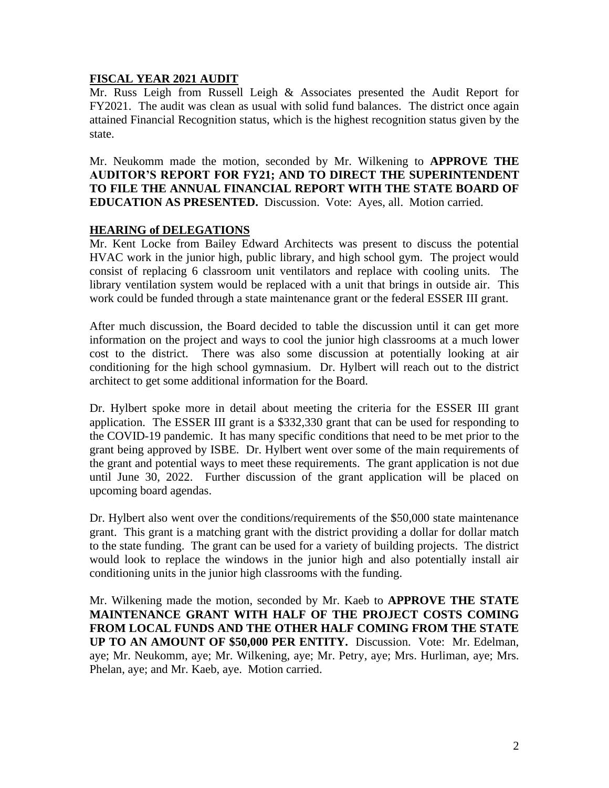# **FISCAL YEAR 2021 AUDIT**

Mr. Russ Leigh from Russell Leigh & Associates presented the Audit Report for FY2021. The audit was clean as usual with solid fund balances. The district once again attained Financial Recognition status, which is the highest recognition status given by the state.

Mr. Neukomm made the motion, seconded by Mr. Wilkening to **APPROVE THE AUDITOR'S REPORT FOR FY21; AND TO DIRECT THE SUPERINTENDENT TO FILE THE ANNUAL FINANCIAL REPORT WITH THE STATE BOARD OF EDUCATION AS PRESENTED.** Discussion. Vote: Ayes, all. Motion carried.

## **HEARING of DELEGATIONS**

Mr. Kent Locke from Bailey Edward Architects was present to discuss the potential HVAC work in the junior high, public library, and high school gym. The project would consist of replacing 6 classroom unit ventilators and replace with cooling units. The library ventilation system would be replaced with a unit that brings in outside air. This work could be funded through a state maintenance grant or the federal ESSER III grant.

After much discussion, the Board decided to table the discussion until it can get more information on the project and ways to cool the junior high classrooms at a much lower cost to the district. There was also some discussion at potentially looking at air conditioning for the high school gymnasium. Dr. Hylbert will reach out to the district architect to get some additional information for the Board.

Dr. Hylbert spoke more in detail about meeting the criteria for the ESSER III grant application. The ESSER III grant is a \$332,330 grant that can be used for responding to the COVID-19 pandemic. It has many specific conditions that need to be met prior to the grant being approved by ISBE. Dr. Hylbert went over some of the main requirements of the grant and potential ways to meet these requirements. The grant application is not due until June 30, 2022. Further discussion of the grant application will be placed on upcoming board agendas.

Dr. Hylbert also went over the conditions/requirements of the \$50,000 state maintenance grant. This grant is a matching grant with the district providing a dollar for dollar match to the state funding. The grant can be used for a variety of building projects. The district would look to replace the windows in the junior high and also potentially install air conditioning units in the junior high classrooms with the funding.

Mr. Wilkening made the motion, seconded by Mr. Kaeb to **APPROVE THE STATE MAINTENANCE GRANT WITH HALF OF THE PROJECT COSTS COMING FROM LOCAL FUNDS AND THE OTHER HALF COMING FROM THE STATE UP TO AN AMOUNT OF \$50,000 PER ENTITY.** Discussion. Vote: Mr. Edelman, aye; Mr. Neukomm, aye; Mr. Wilkening, aye; Mr. Petry, aye; Mrs. Hurliman, aye; Mrs. Phelan, aye; and Mr. Kaeb, aye. Motion carried.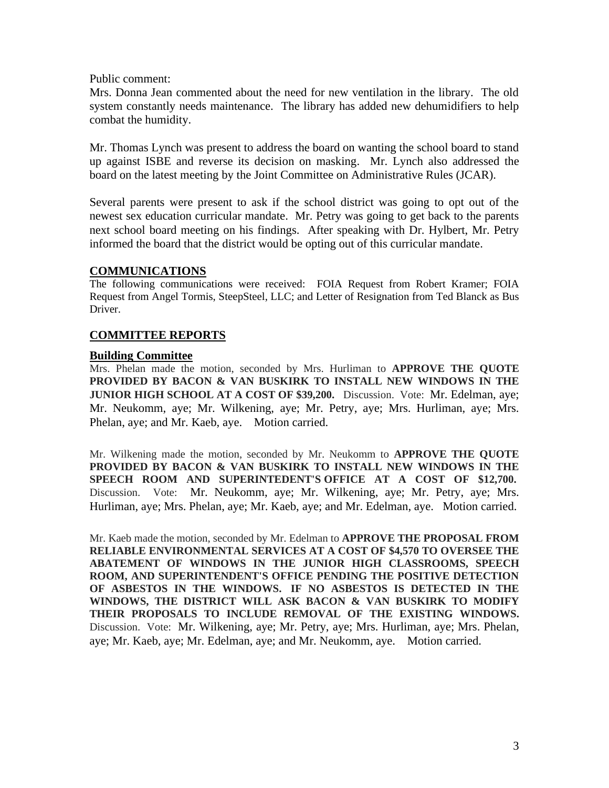Public comment:

Mrs. Donna Jean commented about the need for new ventilation in the library. The old system constantly needs maintenance. The library has added new dehumidifiers to help combat the humidity.

Mr. Thomas Lynch was present to address the board on wanting the school board to stand up against ISBE and reverse its decision on masking. Mr. Lynch also addressed the board on the latest meeting by the Joint Committee on Administrative Rules (JCAR).

Several parents were present to ask if the school district was going to opt out of the newest sex education curricular mandate. Mr. Petry was going to get back to the parents next school board meeting on his findings. After speaking with Dr. Hylbert, Mr. Petry informed the board that the district would be opting out of this curricular mandate.

#### **COMMUNICATIONS**

The following communications were received: FOIA Request from Robert Kramer; FOIA Request from Angel Tormis, SteepSteel, LLC; and Letter of Resignation from Ted Blanck as Bus Driver.

## **COMMITTEE REPORTS**

#### **Building Committee**

Mrs. Phelan made the motion, seconded by Mrs. Hurliman to **APPROVE THE QUOTE PROVIDED BY BACON & VAN BUSKIRK TO INSTALL NEW WINDOWS IN THE JUNIOR HIGH SCHOOL AT A COST OF \$39,200.** Discussion. Vote: Mr. Edelman, aye; Mr. Neukomm, aye; Mr. Wilkening, aye; Mr. Petry, aye; Mrs. Hurliman, aye; Mrs. Phelan, aye; and Mr. Kaeb, aye. Motion carried.

Mr. Wilkening made the motion, seconded by Mr. Neukomm to **APPROVE THE QUOTE PROVIDED BY BACON & VAN BUSKIRK TO INSTALL NEW WINDOWS IN THE SPEECH ROOM AND SUPERINTEDENT'S OFFICE AT A COST OF \$12,700.** Discussion. Vote: Mr. Neukomm, aye; Mr. Wilkening, aye; Mr. Petry, aye; Mrs. Hurliman, aye; Mrs. Phelan, aye; Mr. Kaeb, aye; and Mr. Edelman, aye. Motion carried.

Mr. Kaeb made the motion, seconded by Mr. Edelman to **APPROVE THE PROPOSAL FROM RELIABLE ENVIRONMENTAL SERVICES AT A COST OF \$4,570 TO OVERSEE THE ABATEMENT OF WINDOWS IN THE JUNIOR HIGH CLASSROOMS, SPEECH ROOM, AND SUPERINTENDENT'S OFFICE PENDING THE POSITIVE DETECTION OF ASBESTOS IN THE WINDOWS. IF NO ASBESTOS IS DETECTED IN THE WINDOWS, THE DISTRICT WILL ASK BACON & VAN BUSKIRK TO MODIFY THEIR PROPOSALS TO INCLUDE REMOVAL OF THE EXISTING WINDOWS.**  Discussion. Vote: Mr. Wilkening, aye; Mr. Petry, aye; Mrs. Hurliman, aye; Mrs. Phelan, aye; Mr. Kaeb, aye; Mr. Edelman, aye; and Mr. Neukomm, aye. Motion carried.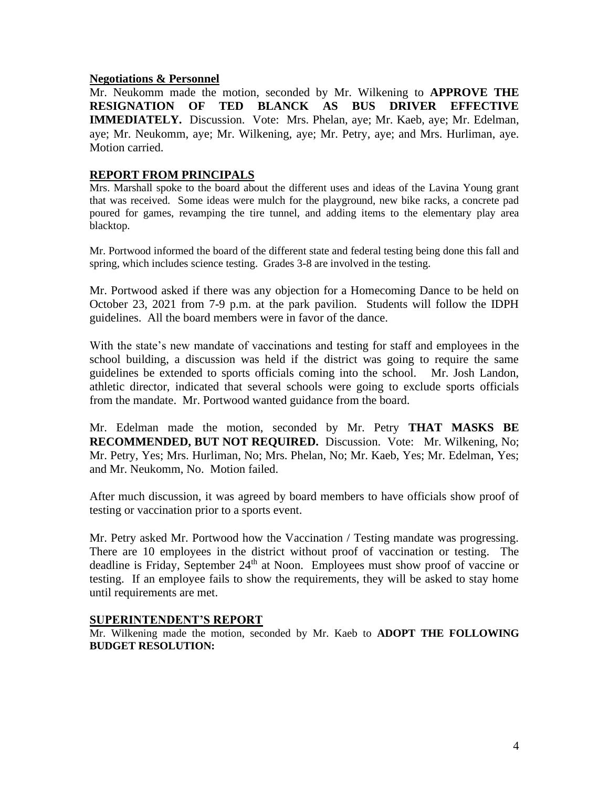### **Negotiations & Personnel**

Mr. Neukomm made the motion, seconded by Mr. Wilkening to **APPROVE THE RESIGNATION OF TED BLANCK AS BUS DRIVER EFFECTIVE IMMEDIATELY.** Discussion. Vote: Mrs. Phelan, aye; Mr. Kaeb, aye; Mr. Edelman, aye; Mr. Neukomm, aye; Mr. Wilkening, aye; Mr. Petry, aye; and Mrs. Hurliman, aye. Motion carried.

## **REPORT FROM PRINCIPALS**

Mrs. Marshall spoke to the board about the different uses and ideas of the Lavina Young grant that was received. Some ideas were mulch for the playground, new bike racks, a concrete pad poured for games, revamping the tire tunnel, and adding items to the elementary play area blacktop.

Mr. Portwood informed the board of the different state and federal testing being done this fall and spring, which includes science testing. Grades 3-8 are involved in the testing.

Mr. Portwood asked if there was any objection for a Homecoming Dance to be held on October 23, 2021 from 7-9 p.m. at the park pavilion. Students will follow the IDPH guidelines. All the board members were in favor of the dance.

With the state's new mandate of vaccinations and testing for staff and employees in the school building, a discussion was held if the district was going to require the same guidelines be extended to sports officials coming into the school. Mr. Josh Landon, athletic director, indicated that several schools were going to exclude sports officials from the mandate. Mr. Portwood wanted guidance from the board.

Mr. Edelman made the motion, seconded by Mr. Petry **THAT MASKS BE RECOMMENDED, BUT NOT REQUIRED.** Discussion. Vote: Mr. Wilkening, No; Mr. Petry, Yes; Mrs. Hurliman, No; Mrs. Phelan, No; Mr. Kaeb, Yes; Mr. Edelman, Yes; and Mr. Neukomm, No. Motion failed.

After much discussion, it was agreed by board members to have officials show proof of testing or vaccination prior to a sports event.

Mr. Petry asked Mr. Portwood how the Vaccination / Testing mandate was progressing. There are 10 employees in the district without proof of vaccination or testing. The deadline is Friday, September  $24<sup>th</sup>$  at Noon. Employees must show proof of vaccine or testing. If an employee fails to show the requirements, they will be asked to stay home until requirements are met.

## **SUPERINTENDENT'S REPORT**

Mr. Wilkening made the motion, seconded by Mr. Kaeb to **ADOPT THE FOLLOWING BUDGET RESOLUTION:**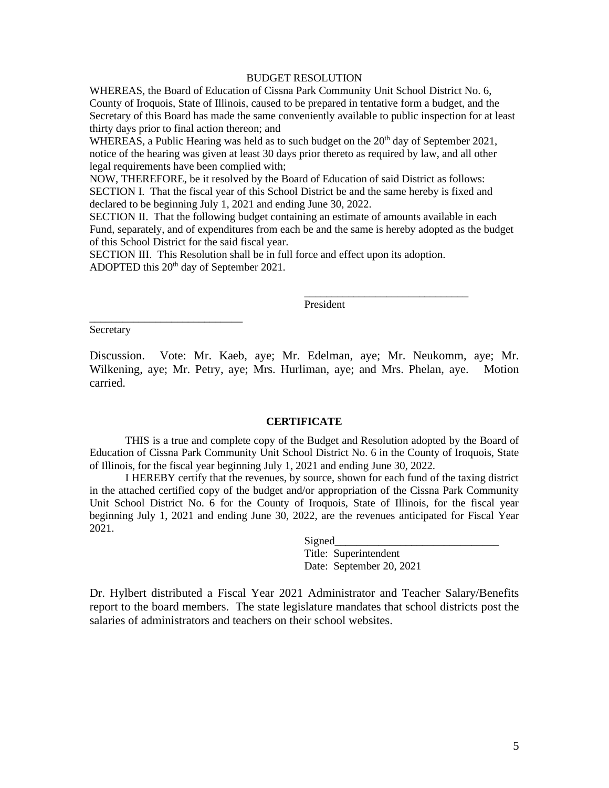#### BUDGET RESOLUTION

WHEREAS, the Board of Education of Cissna Park Community Unit School District No. 6, County of Iroquois, State of Illinois, caused to be prepared in tentative form a budget, and the Secretary of this Board has made the same conveniently available to public inspection for at least thirty days prior to final action thereon; and

WHEREAS, a Public Hearing was held as to such budget on the  $20^{th}$  day of September 2021, notice of the hearing was given at least 30 days prior thereto as required by law, and all other legal requirements have been complied with;

NOW, THEREFORE, be it resolved by the Board of Education of said District as follows: SECTION I. That the fiscal year of this School District be and the same hereby is fixed and declared to be beginning July 1, 2021 and ending June 30, 2022.

SECTION II. That the following budget containing an estimate of amounts available in each Fund, separately, and of expenditures from each be and the same is hereby adopted as the budget of this School District for the said fiscal year.

SECTION III. This Resolution shall be in full force and effect upon its adoption. ADOPTED this 20<sup>th</sup> day of September 2021.

President

\_\_\_\_\_\_\_\_\_\_\_\_\_\_\_\_\_\_\_\_\_\_\_\_\_\_\_\_\_\_

**Secretary** 

\_\_\_\_\_\_\_\_\_\_\_\_\_\_\_\_\_\_\_\_\_\_\_\_\_\_\_\_

Discussion. Vote: Mr. Kaeb, aye; Mr. Edelman, aye; Mr. Neukomm, aye; Mr. Wilkening, aye; Mr. Petry, aye; Mrs. Hurliman, aye; and Mrs. Phelan, aye. Motion carried.

#### **CERTIFICATE**

THIS is a true and complete copy of the Budget and Resolution adopted by the Board of Education of Cissna Park Community Unit School District No. 6 in the County of Iroquois, State of Illinois, for the fiscal year beginning July 1, 2021 and ending June 30, 2022.

I HEREBY certify that the revenues, by source, shown for each fund of the taxing district in the attached certified copy of the budget and/or appropriation of the Cissna Park Community Unit School District No. 6 for the County of Iroquois, State of Illinois, for the fiscal year beginning July 1, 2021 and ending June 30, 2022, are the revenues anticipated for Fiscal Year 2021.

Signed

Title: Superintendent Date: September 20, 2021

Dr. Hylbert distributed a Fiscal Year 2021 Administrator and Teacher Salary/Benefits report to the board members. The state legislature mandates that school districts post the salaries of administrators and teachers on their school websites.